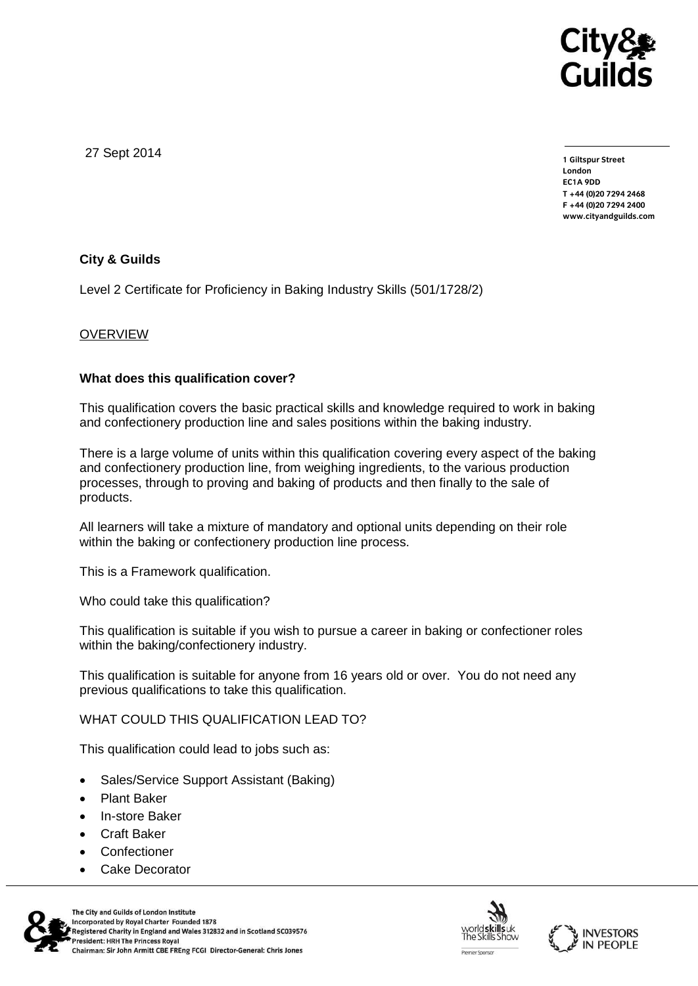

27 Sept 2014

**1 Giltspur Street EC1A 9DD** T +44 (0) 20 7 294 2468 **T +44 (0)20 7294 246[8](http://www.cityandguilds.com/) F +44 (0)20 7294 2400 [www.cityandguilds.com](http://www.cityandguilds.com/)**

## **City & Guilds**

Level 2 Certificate for Proficiency in Baking Industry Skills (501/1728/2)

## OVERVIEW

## **What does this qualification cover?**

This qualification covers the basic practical skills and knowledge required to work in baking and confectionery production line and sales positions within the baking industry.

There is a large volume of units within this qualification covering every aspect of the baking and confectionery production line, from weighing ingredients, to the various production processes, through to proving and baking of products and then finally to the sale of products.

All learners will take a mixture of mandatory and optional units depending on their role within the baking or confectionery production line process.

This is a Framework qualification.

Who could take this qualification?

This qualification is suitable if you wish to pursue a career in baking or confectioner roles within the baking/confectionery industry.

This qualification is suitable for anyone from 16 years old or over. You do not need any previous qualifications to take this qualification.

WHAT COULD THIS QUALIFICATION LEAD TO?

This qualification could lead to jobs such as:

- Sales/Service Support Assistant (Baking)
- Plant Baker
- In-store Baker
- Craft Baker
- Confectioner
- Cake Decorator